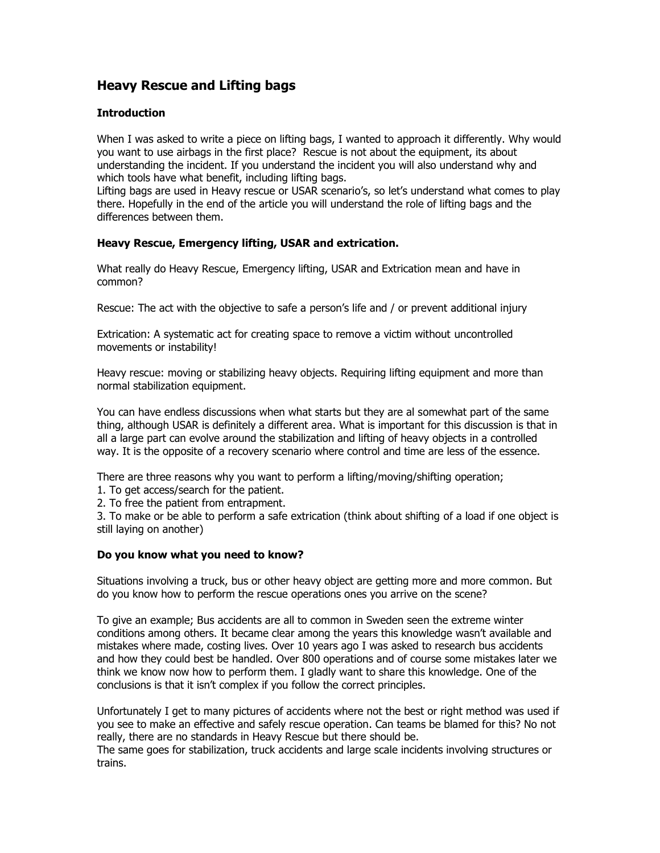# **Heavy Rescue and Lifting bags**

## **Introduction**

When I was asked to write a piece on lifting bags, I wanted to approach it differently. Why would you want to use airbags in the first place? Rescue is not about the equipment, its about understanding the incident. If you understand the incident you will also understand why and which tools have what benefit, including lifting bags.

Lifting bags are used in Heavy rescue or USAR scenario's, so let's understand what comes to play there. Hopefully in the end of the article you will understand the role of lifting bags and the differences between them.

# **Heavy Rescue, Emergency lifting, USAR and extrication.**

What really do Heavy Rescue, Emergency lifting, USAR and Extrication mean and have in common?

Rescue: The act with the objective to safe a person's life and / or prevent additional injury

Extrication: A systematic act for creating space to remove a victim without uncontrolled movements or instability!

Heavy rescue: moving or stabilizing heavy objects. Requiring lifting equipment and more than normal stabilization equipment.

You can have endless discussions when what starts but they are al somewhat part of the same thing, although USAR is definitely a different area. What is important for this discussion is that in all a large part can evolve around the stabilization and lifting of heavy objects in a controlled way. It is the opposite of a recovery scenario where control and time are less of the essence.

There are three reasons why you want to perform a lifting/moving/shifting operation;

- 1. To get access/search for the patient.
- 2. To free the patient from entrapment.

3. To make or be able to perform a safe extrication (think about shifting of a load if one object is still laying on another)

## **Do you know what you need to know?**

Situations involving a truck, bus or other heavy object are getting more and more common. But do you know how to perform the rescue operations ones you arrive on the scene?

To give an example; Bus accidents are all to common in Sweden seen the extreme winter conditions among others. It became clear among the years this knowledge wasn't available and mistakes where made, costing lives. Over 10 years ago I was asked to research bus accidents and how they could best be handled. Over 800 operations and of course some mistakes later we think we know now how to perform them. I gladly want to share this knowledge. One of the conclusions is that it isn't complex if you follow the correct principles.

Unfortunately I get to many pictures of accidents where not the best or right method was used if you see to make an effective and safely rescue operation. Can teams be blamed for this? No not really, there are no standards in Heavy Rescue but there should be.

The same goes for stabilization, truck accidents and large scale incidents involving structures or trains.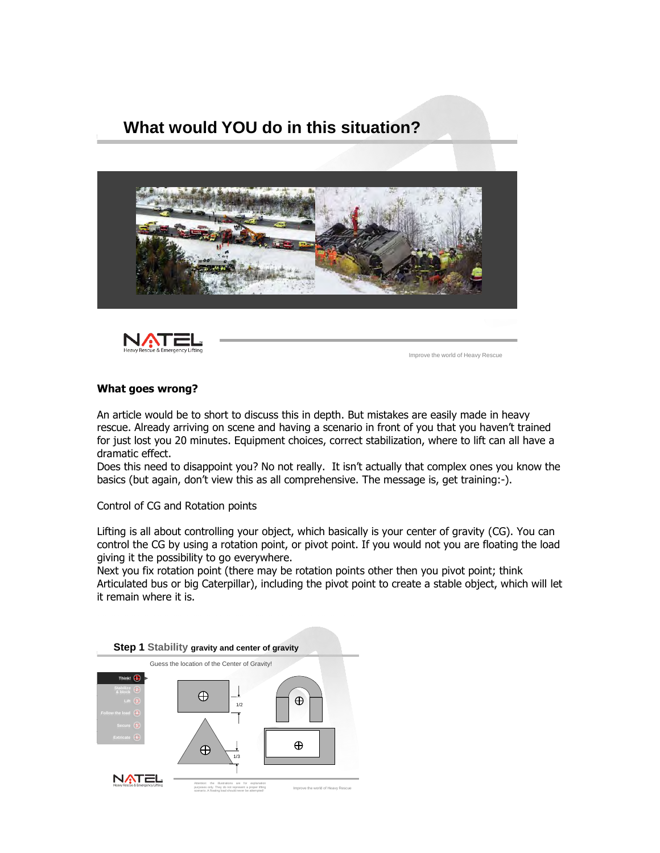



Improve the world of Heavy Rescue

#### **What goes wrong?**

An article would be to short to discuss this in depth. But mistakes are easily made in heavy rescue. Already arriving on scene and having a scenario in front of you that you haven't trained for just lost you 20 minutes. Equipment choices, correct stabilization, where to lift can all have a dramatic effect.

Does this need to disappoint you? No not really. It isn't actually that complex ones you know the basics (but again, don't view this as all comprehensive. The message is, get training:-).

Control of CG and Rotation points

Lifting is all about controlling your object, which basically is your center of gravity (CG). You can control the CG by using a rotation point, or pivot point. If you would not you are floating the load giving it the possibility to go everywhere.

Next you fix rotation point (there may be rotation points other then you pivot point; think Articulated bus or big Caterpillar), including the pivot point to create a stable object, which will let it remain where it is.

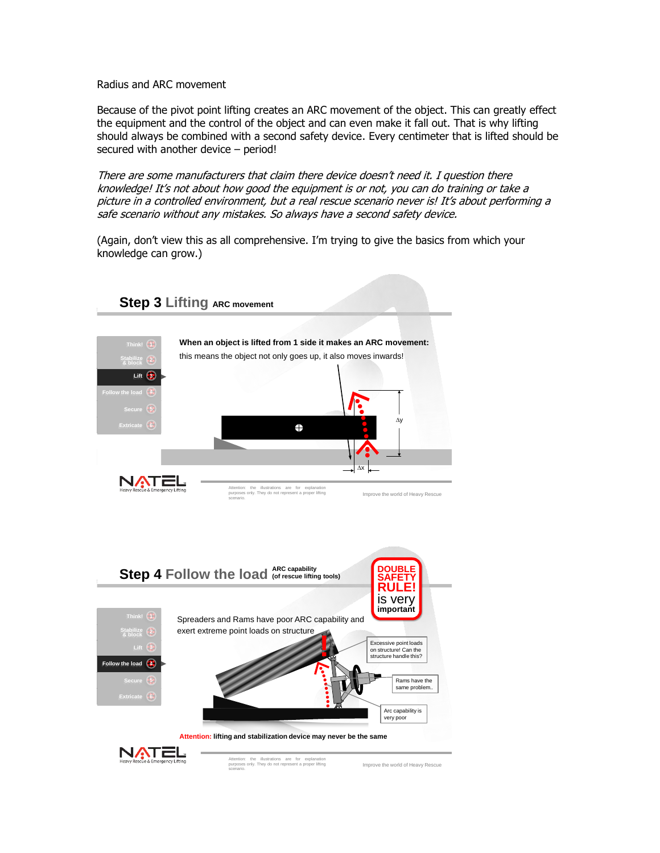Radius and ARC movement

Because of the pivot point lifting creates an ARC movement of the object. This can greatly effect the equipment and the control of the object and can even make it fall out. That is why lifting should always be combined with a second safety device. Every centimeter that is lifted should be secured with another device – period!

There are some manufacturers that claim there device doesn't need it. I question there knowledge! It's not about how good the equipment is or not, you can do training or take a picture in a controlled environment, but a real rescue scenario never is! It's about performing a safe scenario without any mistakes. So always have a second safety device.

(Again, don't view this as all comprehensive. I'm trying to give the basics from which your knowledge can grow.)

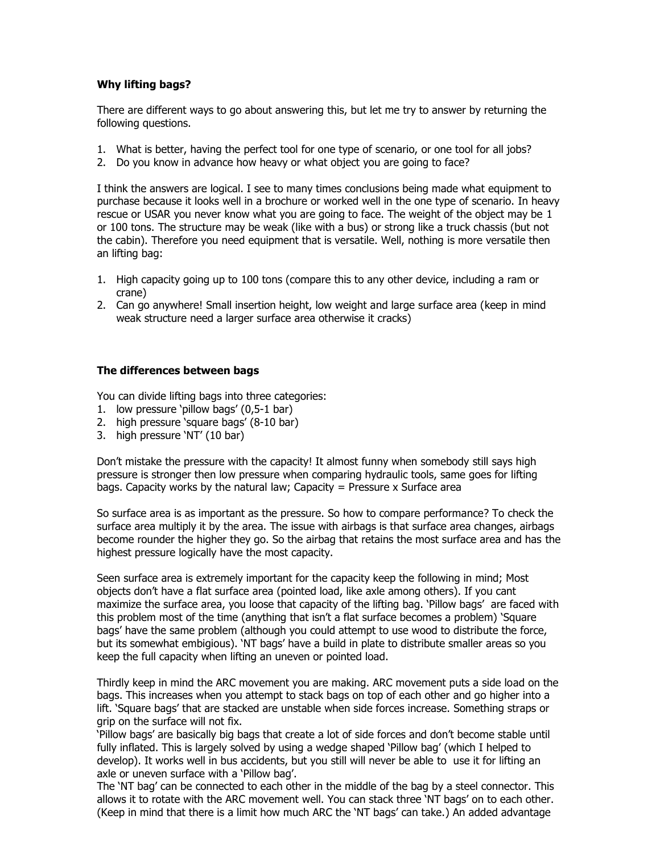## **Why lifting bags?**

There are different ways to go about answering this, but let me try to answer by returning the following questions.

- 1. What is better, having the perfect tool for one type of scenario, or one tool for all jobs?
- 2. Do you know in advance how heavy or what object you are going to face?

I think the answers are logical. I see to many times conclusions being made what equipment to purchase because it looks well in a brochure or worked well in the one type of scenario. In heavy rescue or USAR you never know what you are going to face. The weight of the object may be 1 or 100 tons. The structure may be weak (like with a bus) or strong like a truck chassis (but not the cabin). Therefore you need equipment that is versatile. Well, nothing is more versatile then an lifting bag:

- 1. High capacity going up to 100 tons (compare this to any other device, including a ram or crane)
- 2. Can go anywhere! Small insertion height, low weight and large surface area (keep in mind weak structure need a larger surface area otherwise it cracks)

## **The differences between bags**

You can divide lifting bags into three categories:

- 1. low pressure 'pillow bags' (0,5-1 bar)
- 2. high pressure 'square bags' (8-10 bar)
- 3. high pressure 'NT' (10 bar)

Don't mistake the pressure with the capacity! It almost funny when somebody still says high pressure is stronger then low pressure when comparing hydraulic tools, same goes for lifting bags. Capacity works by the natural law; Capacity  $=$  Pressure x Surface area

So surface area is as important as the pressure. So how to compare performance? To check the surface area multiply it by the area. The issue with airbags is that surface area changes, airbags become rounder the higher they go. So the airbag that retains the most surface area and has the highest pressure logically have the most capacity.

Seen surface area is extremely important for the capacity keep the following in mind; Most objects don't have a flat surface area (pointed load, like axle among others). If you cant maximize the surface area, you loose that capacity of the lifting bag. 'Pillow bags' are faced with this problem most of the time (anything that isn't a flat surface becomes a problem) 'Square bags' have the same problem (although you could attempt to use wood to distribute the force, but its somewhat embigious). 'NT bags' have a build in plate to distribute smaller areas so you keep the full capacity when lifting an uneven or pointed load.

Thirdly keep in mind the ARC movement you are making. ARC movement puts a side load on the bags. This increases when you attempt to stack bags on top of each other and go higher into a lift. 'Square bags' that are stacked are unstable when side forces increase. Something straps or grip on the surface will not fix.

'Pillow bags' are basically big bags that create a lot of side forces and don't become stable until fully inflated. This is largely solved by using a wedge shaped 'Pillow bag' (which I helped to develop). It works well in bus accidents, but you still will never be able to use it for lifting an axle or uneven surface with a 'Pillow bag'.

The 'NT bag' can be connected to each other in the middle of the bag by a steel connector. This allows it to rotate with the ARC movement well. You can stack three 'NT bags' on to each other. (Keep in mind that there is a limit how much ARC the 'NT bags' can take.) An added advantage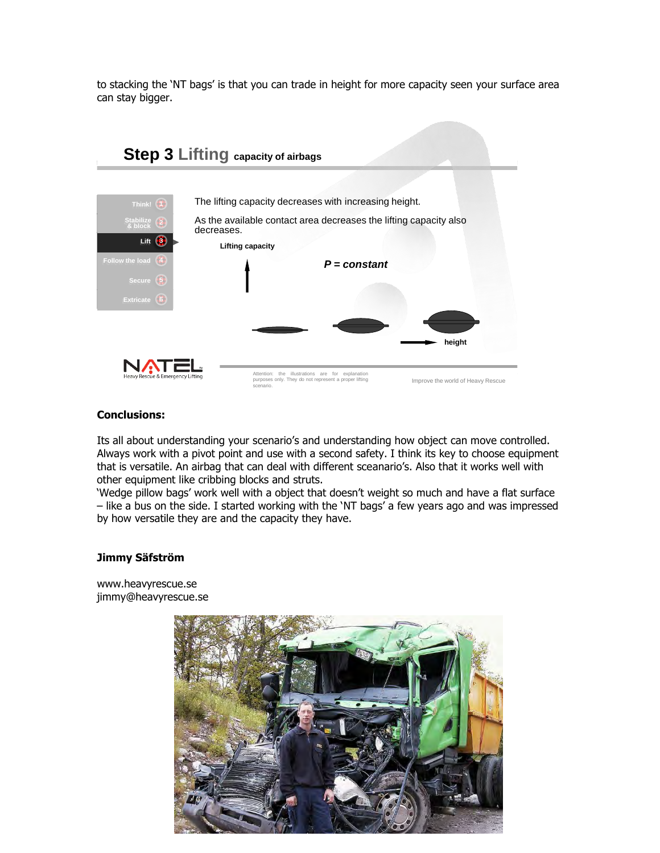to stacking the 'NT bags' is that you can trade in height for more capacity seen your surface area can stay bigger.



### **Conclusions:**

Its all about understanding your scenario's and understanding how object can move controlled. Always work with a pivot point and use with a second safety. I think its key to choose equipment that is versatile. An airbag that can deal with different sceanario's. Also that it works well with other equipment like cribbing blocks and struts.

'Wedge pillow bags' work well with a object that doesn't weight so much and have a flat surface – like a bus on the side. I started working with the 'NT bags' a few years ago and was impressed by how versatile they are and the capacity they have.

### **Jimmy Säfström**

[www.heavyrescue.se](http://www.heavyrescue.se/) [jimmy@heavyrescue.se](mailto:jimmy@heavyrescue.se)